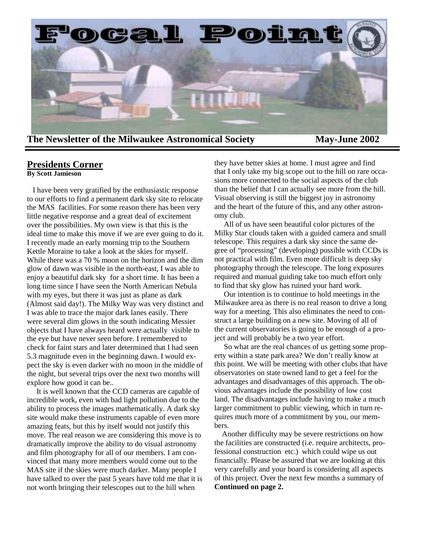

### **Presidents Corner**

**By Scott Jamieson**

 I have been very gratified by the enthusiastic response to our efforts to find a permanent dark sky site to relocate the MAS facilities. For some reason there has been very little negative response and a great deal of excitement over the possibilities. My own view is that this is the ideal time to make this move if we are ever going to do it. I recently made an early morning trip to the Southern Kettle Moraine to take a look at the skies for myself. While there was a 70 % moon on the horizon and the dim glow of dawn was visible in the north-east, I was able to enjoy a beautiful dark sky for a short time. It has been a long time since I have seen the North American Nebula with my eyes, but there it was just as plane as dark (Almost said day!). The Milky Way was very distinct and I was able to trace the major dark lanes easily. There were several dim glows in the south indicating Messier objects that I have always heard were actually visible to the eye but have never seen before. I remembered to check for faint stars and later determined that I had seen 5.3 magnitude even in the beginning dawn. I would expect the sky is even darker with no moon in the middle of the night, but several trips over the next two months will explore how good it can be..

 It is well known that the CCD cameras are capable of incredible work, even with bad light pollution due to the ability to process the images mathematically. A dark sky site would make these instruments capable of even more amazing feats, but this by itself would not justify this move. The real reason we are considering this move is to dramatically improve the ability to do visual astronomy and film photography for all of our members. I am convinced that many more members would come out to the MAS site if the skies were much darker. Many people I have talked to over the past 5 years have told me that it is not worth bringing their telescopes out to the hill when

they have better skies at home. I must agree and find that I only take my big scope out to the hill on rare occasions more connected to the social aspects of the club than the belief that I can actually see more from the hill. Visual observing is still the biggest joy in astronomy and the heart of the future of this, and any other astronomy club.

 All of us have seen beautiful color pictures of the Milky Star clouds taken with a guided camera and small telescope. This requires a dark sky since the same degree of "processing" (developing) possible with CCDs is not practical with film. Even more difficult is deep sky photography through the telescope. The long exposures required and manual guiding take too much effort only to find that sky glow has ruined your hard work.

 Our intention is to continue to hold meetings in the Milwaukee area as there is no real reason to drive a long way for a meeting. This also eliminates the need to construct a large building on a new site. Moving of all of the current observatories is going to be enough of a project and will probably be a two year effort.

 So what are the real chances of us getting some property within a state park area? We don't really know at this point. We will be meeting with other clubs that have observatories on state owned land to get a feel for the advantages and disadvantages of this approach. The obvious advantages include the possibility of low cost land. The disadvantages include having to make a much larger commitment to public viewing, which in turn requires much more of a commitment by you, our members.

 Another difficulty may be severe restrictions on how the facilities are constructed (i.e. require architects, professional construction etc.) which could wipe us out financially. Please be assured that we are looking at this very carefully and your board is considering all aspects of this project. Over the next few months a summary of **Continued on page 2.**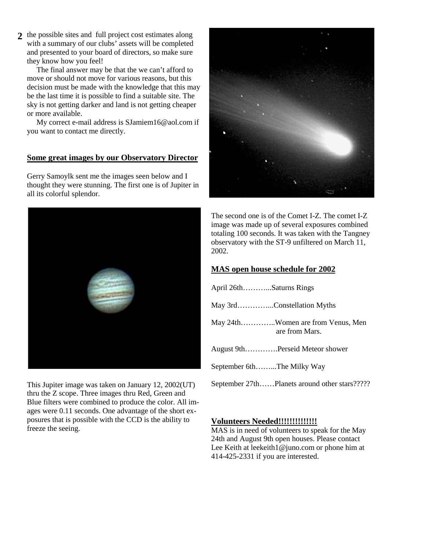the possible sites and full project cost estimates along **2**  with a summary of our clubs' assets will be completed and presented to your board of directors, so make sure they know how you feel!

 The final answer may be that the we can't afford to move or should not move for various reasons, but this decision must be made with the knowledge that this may be the last time it is possible to find a suitable site. The sky is not getting darker and land is not getting cheaper or more available.

 My correct e-mail address is SJamiem16@aol.com if you want to contact me directly.

#### **Some great images by our Observatory Director**

Gerry Samoylk sent me the images seen below and I thought they were stunning. The first one is of Jupiter in all its colorful splendor.



This Jupiter image was taken on January 12, 2002(UT) thru the Z scope. Three images thru Red, Green and Blue filters were combined to produce the color. All images were 0.11 seconds. One advantage of the short exposures that is possible with the CCD is the ability to freeze the seeing.



The second one is of the Comet I-Z. The comet I-Z image was made up of several exposures combined totaling 100 seconds. It was taken with the Tangney observatory with the ST-9 unfiltered on March 11, 2002.

### **MAS open house schedule for 2002**

| April 26thSaturns Rings                             |
|-----------------------------------------------------|
| May 3rdConstellation Myths                          |
| May 24thWomen are from Venus, Men<br>are from Mars. |
| August 9thPerseid Meteor shower                     |
| September 6thThe Milky Way                          |
| September 27thPlanets around other stars?????       |

### sion from the floor to help our members get more **Volunteers Needed!!!!!!!!!!!!!!**

MAS is in need of volunteers to speak for the May 24th and August 9th open houses. Please contact **Notice to all MAS members May Elections!** 414-425-2331 if you are interested. Lee Keith at leekeith1@juno.com or phone him at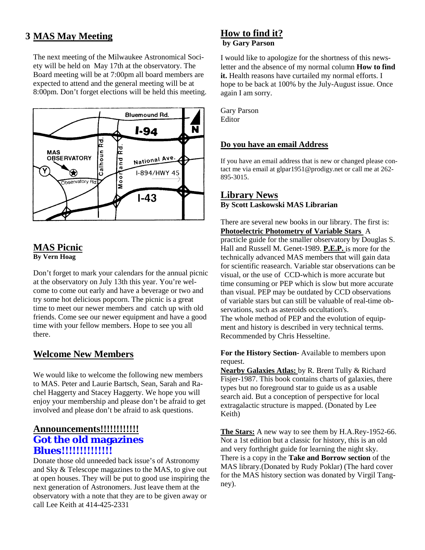# **MAS May Meeting 3**

The next meeting of the Milwaukee Astronomical Society will be held on May 17th at the observatory. The Board meeting will be at 7:00pm all board members are expected to attend and the general meeting will be at 8:00pm. Don't forget elections will be held this meeting.



### **MAS Picnic By Vern Hoag**

Don't forget to mark your calendars for the annual picnic at the observatory on July 13th this year. You're welcome to come out early and have a beverage or two and try some hot delicious popcorn. The picnic is a great time to meet our newer members and catch up with old friends. Come see our newer equipment and have a good time with your fellow members. Hope to see you all there.

# **Welcome New Members**

We would like to welcome the following new members to MAS. Peter and Laurie Bartsch, Sean, Sarah and Rachel Haggerty and Stacey Haggerty. We hope you will enjoy your membership and please don't be afraid to get involved and please don't be afraid to ask questions.

## **Announcements!!!!!!!!!!!! Got the old magazines Blues!!!!!!!!!!!!!!**

Donate those old unneeded back issue's of Astronomy and Sky & Telescope magazines to the MAS, to give out at open houses. They will be put to good use inspiring the next generation of Astronomers. Just leave them at the observatory with a note that they are to be given away or call Lee Keith at 414-425-2331

### **How to find it? by Gary Parson**

I would like to apologize for the shortness of this newsletter and the absence of my normal column **How to find**  it. Health reasons have curtailed my normal efforts. I hope to be back at 100% by the July-August issue. Once again I am sorry.

Gary Parson Editor

#### **Do you have an email Address**

If you have an email address that is new or changed please contact me via email at glpar1951@prodigy.net or call me at 262- 895-3015.

### **Library News By Scott Laskowski MAS Librarian**

There are several new books in our library. The first is: **Photoelectric Photometry of Variable Stars** A practicle guide for the smaller observatory by Douglas S. Hall and Russell M. Genet-1989. **P.E.P.** is more for the technically advanced MAS members that will gain data for scientific reasearch. Variable star observations can be visual, or the use of CCD-which is more accurate but time consuming or PEP which is slow but more accurate than visual. PEP may be outdated by CCD observations of variable stars but can still be valuable of real-time observations, such as asteroids occultation's. The whole method of PEP and the evolution of equipment and history is described in very technical terms. Recommended by Chris Hesseltine.

**For the History Section-** Available to members upon request.

**Nearby Galaxies Atlas:** by R. Brent Tully & Richard Fisjer-1987. This book contains charts of galaxies, there types but no foreground star to guide us as a usable search aid. But a conception of perspective for local extragalactic structure is mapped. (Donated by Lee Keith)

**The Stars:** A new way to see them by H.A.Rey-1952-66. Not a 1st edition but a classic for history, this is an old and very forthright guide for learning the night sky. There is a copy in the **Take and Borrow section** of the MAS library.(Donated by Rudy Poklar) (The hard cover for the MAS history section was donated by Virgil Tangney).